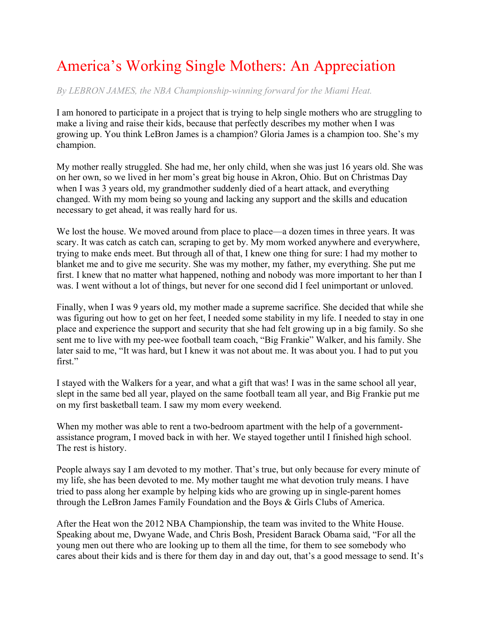## America's Working Single Mothers: An Appreciation

*By LEBRON JAMES, the NBA Championship-winning forward for the Miami Heat.*

I am honored to participate in a project that is trying to help single mothers who are struggling to make a living and raise their kids, because that perfectly describes my mother when I was growing up. You think LeBron James is a champion? Gloria James is a champion too. She's my champion.

My mother really struggled. She had me, her only child, when she was just 16 years old. She was on her own, so we lived in her mom's great big house in Akron, Ohio. But on Christmas Day when I was 3 years old, my grandmother suddenly died of a heart attack, and everything changed. With my mom being so young and lacking any support and the skills and education necessary to get ahead, it was really hard for us.

We lost the house. We moved around from place to place—a dozen times in three years. It was scary. It was catch as catch can, scraping to get by. My mom worked anywhere and everywhere, trying to make ends meet. But through all of that, I knew one thing for sure: I had my mother to blanket me and to give me security. She was my mother, my father, my everything. She put me first. I knew that no matter what happened, nothing and nobody was more important to her than I was. I went without a lot of things, but never for one second did I feel unimportant or unloved.

Finally, when I was 9 years old, my mother made a supreme sacrifice. She decided that while she was figuring out how to get on her feet, I needed some stability in my life. I needed to stay in one place and experience the support and security that she had felt growing up in a big family. So she sent me to live with my pee-wee football team coach, "Big Frankie" Walker, and his family. She later said to me, "It was hard, but I knew it was not about me. It was about you. I had to put you first."

I stayed with the Walkers for a year, and what a gift that was! I was in the same school all year, slept in the same bed all year, played on the same football team all year, and Big Frankie put me on my first basketball team. I saw my mom every weekend.

When my mother was able to rent a two-bedroom apartment with the help of a governmentassistance program, I moved back in with her. We stayed together until I finished high school. The rest is history.

People always say I am devoted to my mother. That's true, but only because for every minute of my life, she has been devoted to me. My mother taught me what devotion truly means. I have tried to pass along her example by helping kids who are growing up in single-parent homes through the LeBron James Family Foundation and the Boys & Girls Clubs of America.

After the Heat won the 2012 NBA Championship, the team was invited to the White House. Speaking about me, Dwyane Wade, and Chris Bosh, President Barack Obama said, "For all the young men out there who are looking up to them all the time, for them to see somebody who cares about their kids and is there for them day in and day out, that's a good message to send. It's